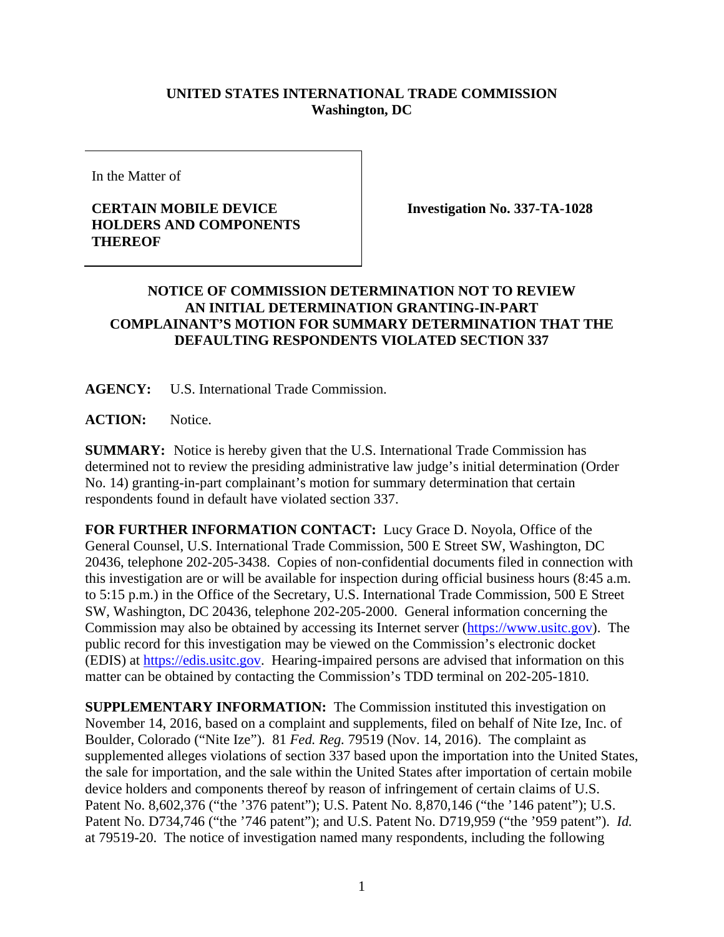## **UNITED STATES INTERNATIONAL TRADE COMMISSION Washington, DC**

In the Matter of

## **CERTAIN MOBILE DEVICE HOLDERS AND COMPONENTS THEREOF**

**Investigation No. 337-TA-1028** 

## **NOTICE OF COMMISSION DETERMINATION NOT TO REVIEW AN INITIAL DETERMINATION GRANTING-IN-PART COMPLAINANT'S MOTION FOR SUMMARY DETERMINATION THAT THE DEFAULTING RESPONDENTS VIOLATED SECTION 337**

**AGENCY:** U.S. International Trade Commission.

**ACTION:** Notice.

**SUMMARY:** Notice is hereby given that the U.S. International Trade Commission has determined not to review the presiding administrative law judge's initial determination (Order No. 14) granting-in-part complainant's motion for summary determination that certain respondents found in default have violated section 337.

**FOR FURTHER INFORMATION CONTACT:** Lucy Grace D. Noyola, Office of the General Counsel, U.S. International Trade Commission, 500 E Street SW, Washington, DC 20436, telephone 202-205-3438. Copies of non-confidential documents filed in connection with this investigation are or will be available for inspection during official business hours (8:45 a.m. to 5:15 p.m.) in the Office of the Secretary, U.S. International Trade Commission, 500 E Street SW, Washington, DC 20436, telephone 202-205-2000. General information concerning the Commission may also be obtained by accessing its Internet server (https://www.usitc.gov). The public record for this investigation may be viewed on the Commission's electronic docket (EDIS) at https://edis.usitc.gov. Hearing-impaired persons are advised that information on this matter can be obtained by contacting the Commission's TDD terminal on 202-205-1810.

**SUPPLEMENTARY INFORMATION:** The Commission instituted this investigation on November 14, 2016, based on a complaint and supplements, filed on behalf of Nite Ize, Inc. of Boulder, Colorado ("Nite Ize"). 81 *Fed. Reg.* 79519 (Nov. 14, 2016). The complaint as supplemented alleges violations of section 337 based upon the importation into the United States, the sale for importation, and the sale within the United States after importation of certain mobile device holders and components thereof by reason of infringement of certain claims of U.S. Patent No. 8,602,376 ("the '376 patent"); U.S. Patent No. 8,870,146 ("the '146 patent"); U.S. Patent No. D734,746 ("the '746 patent"); and U.S. Patent No. D719,959 ("the '959 patent"). *Id.* at 79519-20. The notice of investigation named many respondents, including the following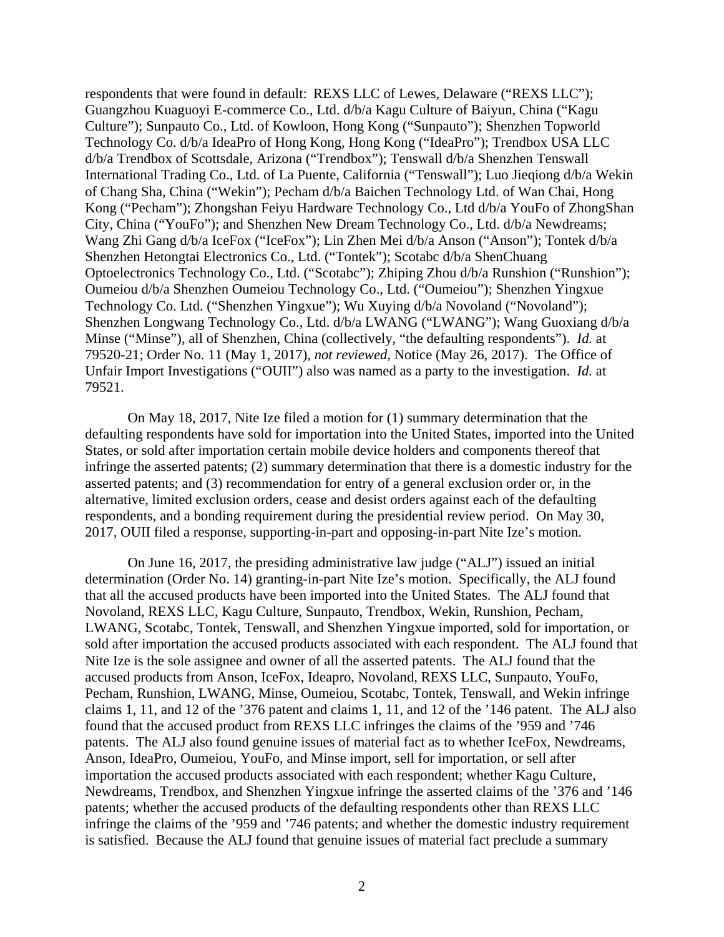respondents that were found in default: REXS LLC of Lewes, Delaware ("REXS LLC"); Guangzhou Kuaguoyi E-commerce Co., Ltd. d/b/a Kagu Culture of Baiyun, China ("Kagu Culture"); Sunpauto Co., Ltd. of Kowloon, Hong Kong ("Sunpauto"); Shenzhen Topworld Technology Co. d/b/a IdeaPro of Hong Kong, Hong Kong ("IdeaPro"); Trendbox USA LLC d/b/a Trendbox of Scottsdale, Arizona ("Trendbox"); Tenswall d/b/a Shenzhen Tenswall International Trading Co., Ltd. of La Puente, California ("Tenswall"); Luo Jieqiong d/b/a Wekin of Chang Sha, China ("Wekin"); Pecham d/b/a Baichen Technology Ltd. of Wan Chai, Hong Kong ("Pecham"); Zhongshan Feiyu Hardware Technology Co., Ltd d/b/a YouFo of ZhongShan City, China ("YouFo"); and Shenzhen New Dream Technology Co., Ltd. d/b/a Newdreams; Wang Zhi Gang d/b/a IceFox ("IceFox"); Lin Zhen Mei d/b/a Anson ("Anson"); Tontek d/b/a Shenzhen Hetongtai Electronics Co., Ltd. ("Tontek"); Scotabc d/b/a ShenChuang Optoelectronics Technology Co., Ltd. ("Scotabc"); Zhiping Zhou d/b/a Runshion ("Runshion"); Oumeiou d/b/a Shenzhen Oumeiou Technology Co., Ltd. ("Oumeiou"); Shenzhen Yingxue Technology Co. Ltd. ("Shenzhen Yingxue"); Wu Xuying d/b/a Novoland ("Novoland"); Shenzhen Longwang Technology Co., Ltd. d/b/a LWANG ("LWANG"); Wang Guoxiang d/b/a Minse ("Minse"), all of Shenzhen, China (collectively, "the defaulting respondents"). *Id.* at 79520-21; Order No. 11 (May 1, 2017), *not reviewed*, Notice (May 26, 2017). The Office of Unfair Import Investigations ("OUII") also was named as a party to the investigation. *Id.* at 79521.

On May 18, 2017, Nite Ize filed a motion for (1) summary determination that the defaulting respondents have sold for importation into the United States, imported into the United States, or sold after importation certain mobile device holders and components thereof that infringe the asserted patents; (2) summary determination that there is a domestic industry for the asserted patents; and (3) recommendation for entry of a general exclusion order or, in the alternative, limited exclusion orders, cease and desist orders against each of the defaulting respondents, and a bonding requirement during the presidential review period. On May 30, 2017, OUII filed a response, supporting-in-part and opposing-in-part Nite Ize's motion.

On June 16, 2017, the presiding administrative law judge ("ALJ") issued an initial determination (Order No. 14) granting-in-part Nite Ize's motion. Specifically, the ALJ found that all the accused products have been imported into the United States. The ALJ found that Novoland, REXS LLC, Kagu Culture, Sunpauto, Trendbox, Wekin, Runshion, Pecham, LWANG, Scotabc, Tontek, Tenswall, and Shenzhen Yingxue imported, sold for importation, or sold after importation the accused products associated with each respondent. The ALJ found that Nite Ize is the sole assignee and owner of all the asserted patents. The ALJ found that the accused products from Anson, IceFox, Ideapro, Novoland, REXS LLC, Sunpauto, YouFo, Pecham, Runshion, LWANG, Minse, Oumeiou, Scotabc, Tontek, Tenswall, and Wekin infringe claims 1, 11, and 12 of the '376 patent and claims 1, 11, and 12 of the '146 patent. The ALJ also found that the accused product from REXS LLC infringes the claims of the '959 and '746 patents. The ALJ also found genuine issues of material fact as to whether IceFox, Newdreams, Anson, IdeaPro, Oumeiou, YouFo, and Minse import, sell for importation, or sell after importation the accused products associated with each respondent; whether Kagu Culture, Newdreams, Trendbox, and Shenzhen Yingxue infringe the asserted claims of the '376 and '146 patents; whether the accused products of the defaulting respondents other than REXS LLC infringe the claims of the '959 and '746 patents; and whether the domestic industry requirement is satisfied. Because the ALJ found that genuine issues of material fact preclude a summary